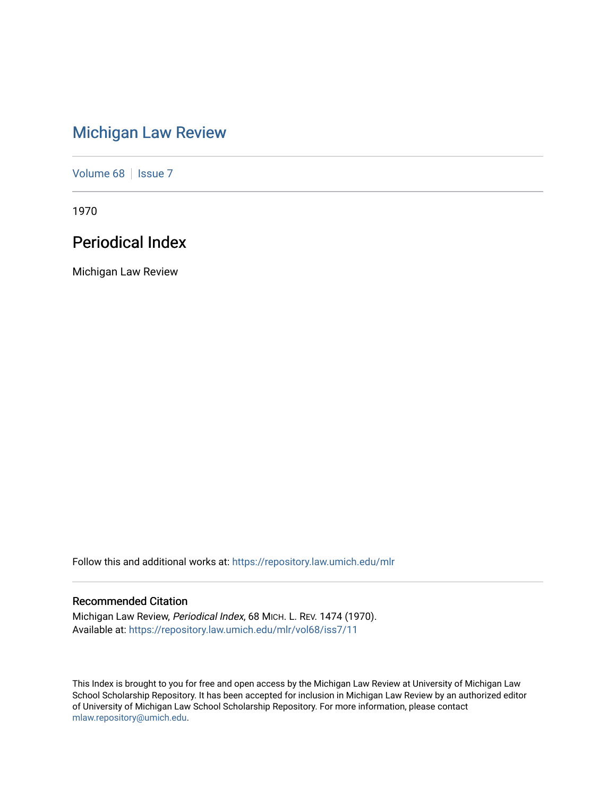# [Michigan Law Review](https://repository.law.umich.edu/mlr)

[Volume 68](https://repository.law.umich.edu/mlr/vol68) | [Issue 7](https://repository.law.umich.edu/mlr/vol68/iss7)

1970

# Periodical Index

Michigan Law Review

Follow this and additional works at: [https://repository.law.umich.edu/mlr](https://repository.law.umich.edu/mlr?utm_source=repository.law.umich.edu%2Fmlr%2Fvol68%2Fiss7%2F11&utm_medium=PDF&utm_campaign=PDFCoverPages) 

### Recommended Citation

Michigan Law Review, Periodical Index, 68 MICH. L. REV. 1474 (1970). Available at: [https://repository.law.umich.edu/mlr/vol68/iss7/11](https://repository.law.umich.edu/mlr/vol68/iss7/11?utm_source=repository.law.umich.edu%2Fmlr%2Fvol68%2Fiss7%2F11&utm_medium=PDF&utm_campaign=PDFCoverPages) 

This Index is brought to you for free and open access by the Michigan Law Review at University of Michigan Law School Scholarship Repository. It has been accepted for inclusion in Michigan Law Review by an authorized editor of University of Michigan Law School Scholarship Repository. For more information, please contact [mlaw.repository@umich.edu.](mailto:mlaw.repository@umich.edu)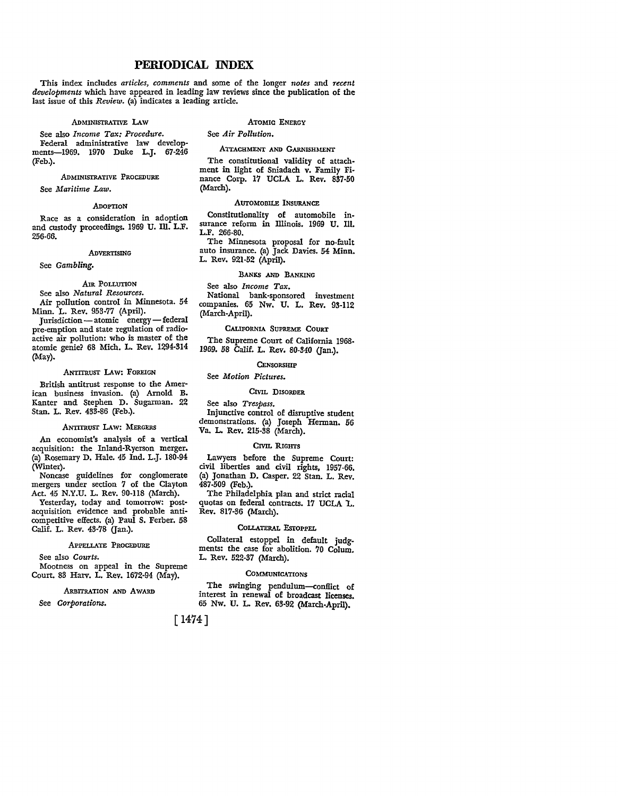### **PERIODICAL INDEX**

This index includes *articles, comments* and some of the longer *notes* and *recent developments* which have appeared in leading law reviews since the publication of the last issue of this *Review*. (a) indicates a leading article.

#### ADMINISTRATIVE LAW

#### ATOMIC ENERGY

See *Air Pollution.* 

See also *Income Tax: Procedure.*  Federal administrative law developments-1969. 1970 Duke L.J. 67-246 (Feb.).

ADMINISTRATIVE PROCEDURE

See *Maritime Law.* 

#### **ADOPTION**

Race as a consideration in adoption and custody proceedings. 1969 U. Ill. L.F. 256-66.

#### ADVERTISING

#### See *Gambling.*

### AIR POLLUTION

See also *Natural Resources.*  Air pollution control in Minnesota. 54 Minn. L. Rev. 953-77 (April).

Jurisdiction-atomic energy-federal pre-emption and state regulation of radioactive air pollution: who is master of the atomic genie? 68 Mich. L. Rev. 1294-314 (May).

#### ANTITRUST LAW: FOREIGN

British antitrust response to the American business invasion. (a) Arnold B. Kanter and Stephen D. Sugarman. 22 Stan. L. Rev. 433-86 (Feb.).

#### ANTITRUST LAW: MERGERS

An economist's analysis of a vertical acquisition: the Inland-Ryerson merger. (a) Rosemary D. Hale. 45 Ind. L.J. 180-94 (Winter).

Noncase guidelines for conglomerate mergers under section 7 of the Clayton Act. 45 N.Y.U. L. Rev. 90-118 (March).

Yesterday, today and tomorrow: postacquisition evidence and probable anticompetitive effects. (a) Paul S. Ferber. 58 Calif. L. Rev. 43-78 (Jan.).

#### APPELLATE PROCEDURE

See also *Courts.* 

Mootness on appeal in the Supreme Court. 83 Harv. L. Rev. 1672-94 (May).

#### ARBITRATION AND AWARD

See *Corporations.* 

ATTACHMENT AND GARNISHMENT The constitutional validity of attachment in light of Sniadach v. Family Fi-

nance Corp. 17 UCLA L. Rev. 837-50 (March).

#### AUTOMOBILE INSURANCE

Constitutionality of automobile insurance reform in Illinois. 1969 U. Ill. L.F. 266-80.

The Minnesota proposal for no-fault auto insurance. (a) Jack Davies. 54 Minn. L. Rev. 921-52 (April).

#### BANKS AND BANKING

See also *Income Tax.*  National bank-sponsored investment companies. 65 Nw. U. L. Rev. 93-112 (March-April).

#### CALIFORNIA SUPREME COURT

The Supreme Court of California 1968- 1969. 58 Calif. L. Rev. 80-340 (Jan.).

#### **CENSORSHIP**

See *Motion Pictures.* 

#### CIVIL DISORDER

See also *Trespass.*  Injunctive control of disruptive student demonstrations. (a) Joseph Herman. 56 Va. L. Rev. 215-38 (March).

#### CIVIL RIGHTS

Lawyers before the Supreme Court: civil liberties and civil rights, 1957-66. (a) Jonathan D. Casper. 22 Stan. L. Rev. 487-509 (Feb.).

The Philadelphia plan and strict racial quotas on federal contracts. 17 UCLA L. Rev. 817-36 (March).

#### COLLATERAL EsrOPPEL

Collateral estoppel in default judgments: the case for abolition. 70 Colum. L. Rev. 522-37 (March).

#### COMMUNICATIONS

The swinging pendulum-conflict of interest in renewal of broadcast licenses. 65 Nw. U. L. Rev. 63-92 (March-April).

[ 1474]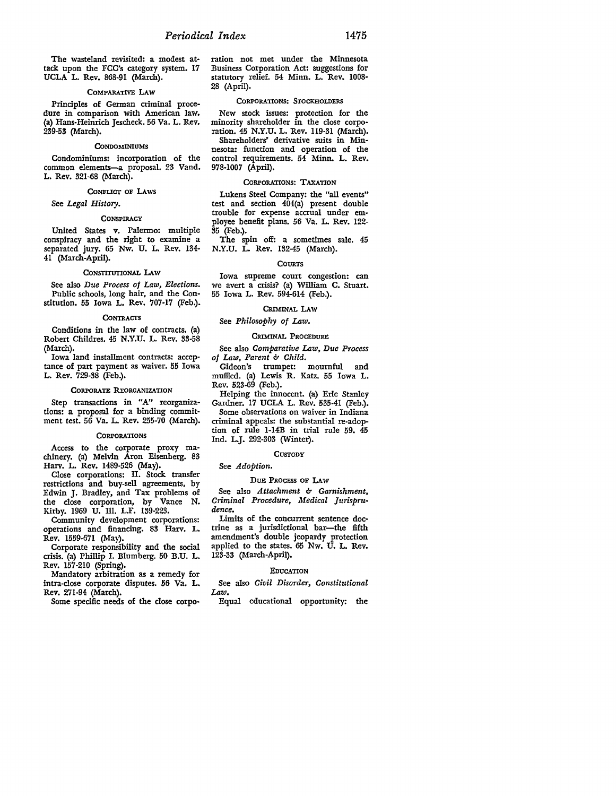The wasteland revisited: a modest attack upon the FCC's category system. 17 UCLA L. Rev. 868-91 (March).

#### COMPARATIVE LAW

Principles of German criminal procedure in comparison with American law. (a) Hans-Heinrich Jescheck. 56 Va. L. Rev. 239-53 (March).

#### **CONDOMINIUMS**

Condominiums: incorporation of the common elements-a proposal. 23 Vand. L. Rev. 321-68 (March).

#### CoNFUcr OF LAws

See *Legal History.* 

#### **CONSPIRACY**

United States v. Palermo: multiple conspiracy and the right to examine a separated jury. 65 Nw. U. L. Rev. 134- 41 (March-April).

#### CONSTITUTIONAL LAw

See also *Due Process of Law, Elections.*  Public schools, long hair, and the Constitution. 55 Iowa L. Rev. 707-17 (Feb.).

#### **CONTRACTS**

Conditions in the law of contracts. (a) Robert Childres. 45 N.Y.U. L. Rev. 33-58 (March).

Iowa land installment contracts: acceptance of part payment as waiver. 55 Iowa L. Rev. 729-38 (Feb.).

#### CORPORATE REORGANIZATION

Step transactions in "A" reorganizations: a proposal for a binding commitment test. 56 Va. L. Rev. 255-70 (March).

#### **CORPORATIONS**

Access to the corporate proxy machinery. (a) Melvin Aron Eisenberg. 83 Harv. L. Rev. 1489-526 (May).

Close corporations: II. Stock transfer restrictions and buy-sell agreements, by Edwin J. Bradley, and Tax problems of the close corporation, by Vance N. Kirby. 1969 U. Ill. L.F. 139-223.

Community development corporations: operations and financing. 83 Harv. L. Rev. 1559-671 (May).

Corporate responsibility and the social crisis. (a) Phillip I. Blumberg. 50 B.U. L. Rev. 157-210 (Spring).

Mandatory arbitration as a remedy for intra-close corporate disputes. 56 Va. L. Rev. 271-94 (March).

Some specific needs of the close corpo-

ration not met under the Minnesota Business Corporation Act: suggestions for statutory relief. 54 Minn. L. Rev. 1008- 28 (April).

#### CORPORATIONS: STOCKHOLDERS

New stock issues: protection for the minority shareholder in the close corporation. 45 N.Y.U. L. Rev. 119-31 (March). Shareholders' derivative suits in Minnesota: function and operation of the control requirements. 54 Minn. L. Rev. 978-1007 (April).

#### CORPORATIONS: TAXATION

Lukens Steel Company: the "all events" test and section 404(a) present double trouble for expense accrual under employee benefit plans. 56 Va. L. Rev. 122- 35 (Feb.).

The spin off: a sometimes sale. 45 N.Y.U. L. Rev. 132-45 (March).

#### **COURTS**

Iowa supreme court congestion: can we avert a crisis? (a) William C. Stuart. 55 Iowa L. Rev. 594-614 (Feb.).

#### CRIMINAL LAW

#### See *Philosophy of Law.*

#### CRIMINAL PROCEDURE

See also *Comparative Law, Due Process of Law, Parent & Child.* Gideon's trumpet:

trumpet: mournful and muffled. (a) Lewis R. Katz. 55 Iowa L. Rev. 523-69 (Feb.).

Helping the innocent. (a) Erle Stanley Gardner. 17 UCLA L. Rev. 535-41 (Feb.). Some observations on waiver in Indiana

criminal appeals: the substantial re-adoption of rule l-14B in trial rule 59. 45 Ind. L.J. 292-303 (Winter).

#### **CUSTODY**

#### See *Adoption.*

#### DUE PROCESS OF LAW

See also *Attachment* & Garnishment, *Criminal Procedure, Medical Jurisprudence.* 

Limits of the concurrent sentence doctrine as a jurisdictional bar-the fifth amendment's double jeopardy protection applied to the states. 65 Nw. U. L. Rev. 123-33 (March-April).

#### EDUCATION

See also *Civil Disorder, Constitutional Law.* 

Equal educational opportunity: the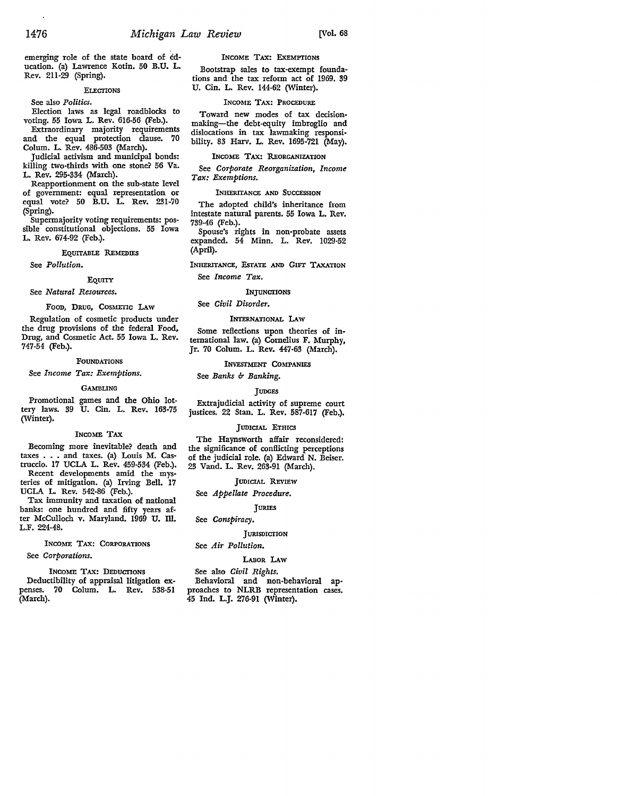emerging role of the state board of education. (a) Lawrence Kotin. 50 B.U. L. Rev. 211-29 (Spring).

#### **ELECTIONS**

See also *Politics.* 

Election laws as legal roadblocks to voting. 55 Iowa L. Rev. 616-56 (Feb.).

Extraordinary majority requirements and the equal protection clause. 70 Colum. L. Rev. 486-503 (March).

Judicial activism and municipal bonds: killing two-thirds with one stone? 56 Va. L. Rev. 295-334 (March).

Reapportionment on the sub-state level of government: equal representation or equal vote? 50 B.U. L. **Rev.** 231-70 (Spring).

Supermajority voting requirements: possible constitutional objections. 55 Iowa L. Rev. 674-92 (Feb.).

#### EQUITABLE REMEDIES

See *Pollution.* 

EQUITY

See *Natural Resources.* 

#### FOOD, DRUG, COSMETIC LAW

Regulation of cosmetic products under the drug provisions of the federal Food, Drug, and Cosmetic Act. 55 Iowa L. Rev. 747-54 (Feb.).

#### FOUNDATIONS

See *Income Tax: Exemptions.* 

#### GAMBLING

Promotional games and the Ohio lottery laws. 39 U. Cin. L. Rev. 163-75 (Winter).

#### INCOME **TAX**

Becoming more inevitable? death and taxes . • . and taxes. (a) Louis **M.** Castruccio. 17 UCLA L. Rev. 459-534 (Feb.). Recent developments amid the mysteries of mitigation. (a) Irving Bell. 17

UCLA L. Rev. 542-86 (Feb.). Tax immunity and taxation of national banks: one hundred and fifty years after McCulloch v. Maryland. 1969 U. Ill. L.F. 224-48.

## INCOME TAX: CORPORATIONS

See *Corporations.* 

INCOME TAX: DEDUCTIONS Deductibility of appraisal litigation expenses. 70 Colum. L. Rev. 538-51 (March).

INCOME TAX: EXEMPTIONS

Bootstrap sales to tax-exempt foundations and the tax reform act of 1969. 39 U. Cin. L. Rev. 144-62 (Winter).

#### INCOME TAX: PROCEDURE

Toward new modes of tax decisionmaking-the debt-equity imbroglio and dislocations in tax lawmaking responsibility. 83 Harv. L. Rev. 1695-721 (May).

#### INCOME TAX: REORGANIZATION

See *Corporate Reorganization, Income Tax: Exemptions.* 

#### INHERITANCE AND SUCCESSION

The adopted child's inheritance from intestate natural parents. 55 Iowa L. Rev. 739-46 (Feb.).

Spouse's rights in non-probate assets expanded. 54 Minn. L. Rev. 1029-52 (April).

INHERITANCE, EsrATE AND GIFT TAXATION See *Income Tax.* 

### **INJUNCTIONS**

#### See *Civil Disorder.*

#### INTERNATIONAL LAW

Some reflections upon theories of international law. (a) Cornelius F. Murphy, Jr. 70 Colum. L. Rev. 447-63 (March).

#### INVESTMENT COMPANIES

See *Banks b Banking.* 

#### **TUDGES**

Extrajudicial activity of supreme court justices. 22 Stan. L. Rev. 587-617 (Feb.).

#### JUDICIAL ETHICS

The Haynsworth affair reconsidered: the significance of conflicting perceptions of the judicial role. (a) Edward N. Beiser. 23 Vand. L. Rev. 263-91 (March).

#### JUDICIAL REVIEW

#### See *Appellate Procedure.*

JURIES

#### See *Conspiracy.*

#### **JURISDICTION**

#### See *Air Pollution.*

### LABOR LAW

See also *Civil Rights.* 

Behavioral and non-behavioral approaches to NLRB representation cases. 45 Ind. L.J. 276-91 (Winter).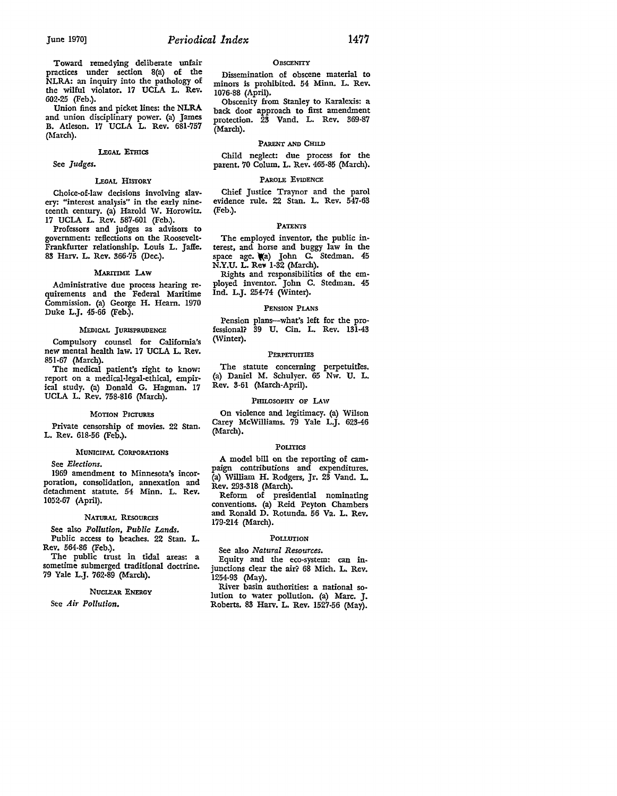Toward remedying deliberate unfair practices under section 8(a) of the NLRA: an inquiry into the pathology of the wilful violator. 17 UCLA L. Rev. 602-25 (Feb.).

Union fines and picket lines: the NLRA and union disciplinary power. (a) James B. Atleson. 17 UCLA L. Rev. 681-757 (March).

#### LEGAL ETHICS

#### See *Judges.*

#### LEGAL HISIORY

Choice-of-law decisions involving slavery: "interest analysis" in the early nineteenth century. (a) Harold W. Horowitz. 17 UCLA L. Rev. 587-601 (Feb.).

Professors and judges as advisors **to**  government: reflections on the Roosevelt-Frankfuner relationship. Louis L. Jaffe. 83 Harv. L. Rev. 366-75 (Dec.).

#### MARITIME LAW

Administrative due process hearing requirements and the Federal Maritime Commission. (a) George H. Heam. 1970 Duke L.J. 45-66 (Feb.).

#### MEDICAL JURISPRUDENCE

Compulsory counsel for California's new mental health law. 17 UCLA L. Rev. 851-67 (March).

The medical patient's right to know: report on a medical-legal-ethical, empirical study. {a) Donald G. Hagman. 17 UCLA L. Rev. 758-816 (March).

#### MOTION PICTURES

Private censorship of movies. 22 Stan. L. Rev. 618-56 (Feb.).

#### MUNICIPAL CORPORATIONS

See *Elections.* 

1969 amendment to Minnesota's incorporation, consolidation, annexation and detachment statute. 54 Minn. L. Rev. 1052-67 (April).

#### NATURAL RESOURCES

See also *Pollution, Public Lands.*  Public access to beaches. 22 Stan. L. Rev. 564-86 (Feb.).

The public trust in tidal areas: a sometime submerged traditional doctrine. 79 Yale L.J. 762·89 (March).

#### NUCLEAR ENERGY

See *Air Pollution.* 

#### **OBSCENITY**

Dissemination of obscene material to minors is prohibited. 54 Minn. L. Rev. 1076-88 (April).

Obscenity from Stanley to Karalexis: a back door approach **to** first amendment protection. 23 Vand. L. Rev. 369-87 (March).

#### PARENT AND CHILD

Child neglect: due process for the parent. 70 Colum. L. Rev. 465-85 (March).

#### PAROLE EVIDENCE

Chief Justice Traynor and the parol evidence rule. 22 Stan. L. Rev. 547-63 (Feb.).

#### PATENTS

The employed inventor, the public interest, and horse and buggy law in the space age. (a) John C. Stedman. 45 N.Y.U. L. Rey 1-32 (March).

Rights and responsibilities of the employed inventor. John C. Stedman. 45 Ind. L.J. 254-74 (Winter).

#### PENSION PLANS

Pension plans-what's left for the professional? 39 U. Cin. L. Rev. 131-43 (Winter).

#### **PERPETUITIES**

The statute concerning perpetuitfes. (a) Daniel M. Schulyer. 65 Nw. U. L. Rev. 3-61 (March-April).

#### PHILOSOPHY OF LAW

On violence and legitimacy. (a) Wilson Carey McWilliams. 79 Yale L.J. 623-46 (March).

#### Pourics

A model bill on the reporting of campaign contributions and expenditures. (a) William H. Rodgers, Jr. 23 Vand. L. Rev. 293-318 (March).

Reform of presidential nominating conventions. (a) Reid Peyton Chambers and Ronald D. Rotunda. 56 Va. L. Rev. 179-214 (March).

#### POLLUTION

See also *Natural Resources.* 

Equity and the eco-system: can injunctions clear the air? 68 Mich. L. Rev. 1254-93 (May).

River basin authorities: a national solution to water pollution. (a) Marc. J. Roberts. 83 Harv. L. Rev. 1527-56 (May).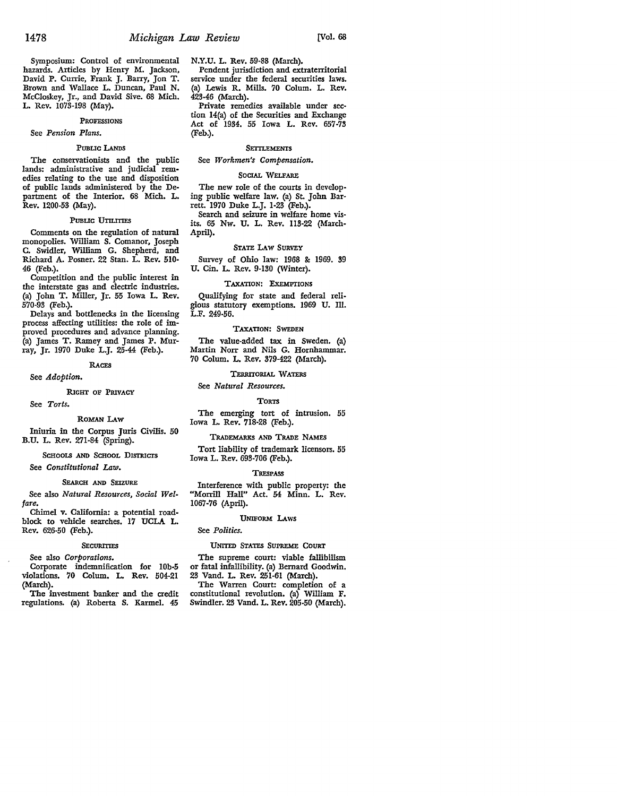Symposium: Control of environmental hazards. Articles by Henry M. Jackson, David P. Currie, Frank J. Barry, Jon T. Brown and Wallace L. Duncan, Paul N. McCloskey, Jr., and David Sive. 68 Mich. L. Rev. 1073-198 (May).

#### PROFESSIONS

See *Pension Plans.* 

#### PUBLIC LANDS

The conservationists and the public lands: administrative and judicial remedies relating to the use and disposition of public lands administered by the Department of the Interior. 68 Mich. L. Rev. 1200-53 (May).

#### PUBLIC UTILITIES

Comments on the regulation of natural monopolies. William S. Comanor, Joseph C. Swidler, William G. Shepherd, and Richard A. Posner. 22 Stan. L. Rev. 510- 46 (Feb.).

Competition and the public interest in the interstate gas and electric industries. (a) John T. Miller, Jr. 55 Iowa L. Rev. 570-93 (Feb.).

Delays and bottlenecks in the licensing process affecting utilities: the role of improved procedures and advance planning. (a) James T. Ramey and James P. Murray, Jr. 1970 Duke L.J. 25-44 (Feb.).

#### RACES

See *Adoption.* 

#### RIGHT OF PRIVACY

See *Torts.* 

#### ROMAN LAw

Iniuria in the Corpus Juris Civilis. 50 B.U. L. Rev. 271-84 (Spring).

SCHOOLS AND SCHOOL DISTRICTS

See *Constitutional* Law.

### SEARCH AND SEIZURE

See also *Natural Resources, Social Welfare.* 

Chimel v. California: a potential roadblock to vehicle searches. 17 UCLA L. Rev. 626-50 (Feb.).

#### **SECURITIES**

### See also *Corporations.*

Corporate indemnification for lOb-5 violations. 70 Colum. L. Rev. 504-21 (March).

The investment banker and the credit regulations. (a) Roberta S. Karmel. 45 N.Y.U. L. Rev. 59-88 (March). Pendent jurisdiction and extraterritorial service under the federal securities laws. (a) Lewis R. Mills. 70 Colum. L. Rev.

423-46 (March). Private remedies available under section 14(a) of the Securities and Exchange Act of 1934. 55 Iowa L. Rev. 657-73 (Feb.).

#### **SETTLEMENTS**

See *Workmen's Compensation.* 

#### SOCIAL WELFARE

The new role of the courts in developing public welfare law. (a) St. John Barrett. 1970 Duke L.J. 1-23 (Feb.).

Search and seizure in welfare home visits. 65 Nw. U. L. Rev. 113-22 (March-April).

#### STATE LAW SURVEY

Survey of Ohio law: 1968 & 1969. 39 U. Cin. L. Rev. 9-130 (Winter).

#### TAXATION: EXEMPTIONS

Qualifying for state and federal religious statutory exemptions. 1969 U. Ill. L.F. 249-56.

#### TAXATION: SWEDEN

The value-added tax in Sweden. (a) Martin Norr and Nils G. Hornhammar. 70 Colum. L. Rev. 379-422 (March).

#### TERRITORIAL WATERS

See *Natural Resources.* 

#### **TORTS**

The emerging tort of intrusion. 55 Iowa L. Rev. 718-28 (Feb.).

#### TRADEMARKS AND TRADE NAMES

Tort liability of trademark licensors. 55 Iowa L. Rev. 693-706 (Feb.).

#### **TRESPASS**

Interference with public property: the "Morrill Hall" Act. 54 Minn. L. Rev. 1067-76 (April).

#### UNIFORM LAws

#### See *Politics.*

#### UNITED STATES SUPREME COURT

The supreme court: viable fallibilism or fatal infallibility. (a) Bernard Goodwin. 23 Vand. L. Rev. 251-61 (March).

The Warren Court: completion of a constitutional revolution. (a) William F. Swindler. 23 Vand. L. Rev. 205-50 (March).